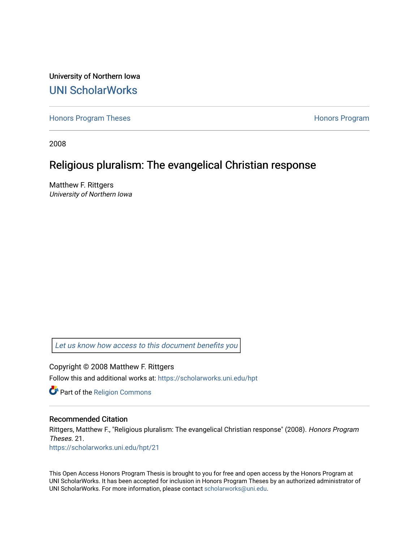University of Northern Iowa [UNI ScholarWorks](https://scholarworks.uni.edu/) 

[Honors Program Theses](https://scholarworks.uni.edu/hpt) **Honors Program** Honors Program

2008

# Religious pluralism: The evangelical Christian response

Matthew F. Rittgers University of Northern Iowa

[Let us know how access to this document benefits you](https://scholarworks.uni.edu/feedback_form.html) 

Copyright © 2008 Matthew F. Rittgers Follow this and additional works at: [https://scholarworks.uni.edu/hpt](https://scholarworks.uni.edu/hpt?utm_source=scholarworks.uni.edu%2Fhpt%2F21&utm_medium=PDF&utm_campaign=PDFCoverPages) 

Part of the [Religion Commons](http://network.bepress.com/hgg/discipline/538?utm_source=scholarworks.uni.edu%2Fhpt%2F21&utm_medium=PDF&utm_campaign=PDFCoverPages)

# Recommended Citation

Rittgers, Matthew F., "Religious pluralism: The evangelical Christian response" (2008). Honors Program Theses. 21. [https://scholarworks.uni.edu/hpt/21](https://scholarworks.uni.edu/hpt/21?utm_source=scholarworks.uni.edu%2Fhpt%2F21&utm_medium=PDF&utm_campaign=PDFCoverPages)

This Open Access Honors Program Thesis is brought to you for free and open access by the Honors Program at UNI ScholarWorks. It has been accepted for inclusion in Honors Program Theses by an authorized administrator of UNI ScholarWorks. For more information, please contact [scholarworks@uni.edu.](mailto:scholarworks@uni.edu)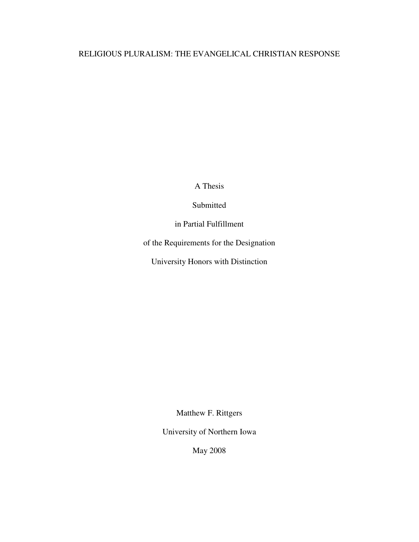# RELIGIOUS PLURALISM: THE EVANGELICAL CHRISTIAN RESPONSE

A Thesis

Submitted

in Partial Fulfillment

of the Requirements for the Designation

University Honors with Distinction

Matthew F. Rittgers

University of Northern Iowa

May 2008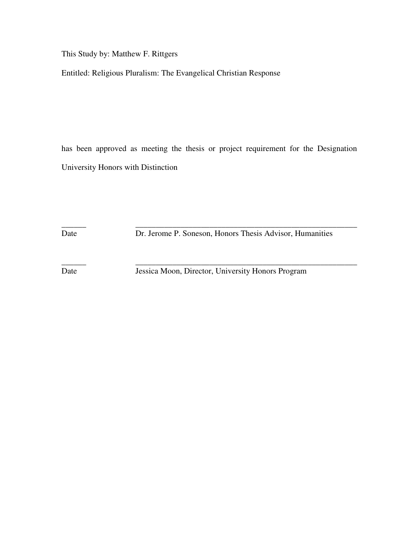This Study by: Matthew F. Rittgers

Entitled: Religious Pluralism: The Evangelical Christian Response

has been approved as meeting the thesis or project requirement for the Designation University Honors with Distinction

\_\_\_\_\_\_ \_\_\_\_\_\_\_\_\_\_\_\_\_\_\_\_\_\_\_\_\_\_\_\_\_\_\_\_\_\_\_\_\_\_\_\_\_\_\_\_\_\_\_\_\_\_\_\_\_\_\_\_\_\_ Date Dr. Jerome P. Soneson, Honors Thesis Advisor, Humanities

Date Jessica Moon, Director, University Honors Program

\_\_\_\_\_\_ \_\_\_\_\_\_\_\_\_\_\_\_\_\_\_\_\_\_\_\_\_\_\_\_\_\_\_\_\_\_\_\_\_\_\_\_\_\_\_\_\_\_\_\_\_\_\_\_\_\_\_\_\_\_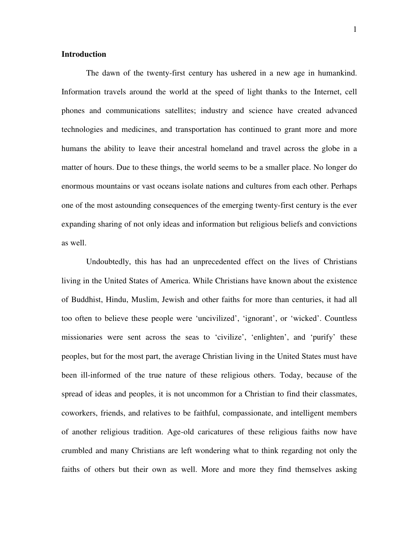# **Introduction**

 The dawn of the twenty-first century has ushered in a new age in humankind. Information travels around the world at the speed of light thanks to the Internet, cell phones and communications satellites; industry and science have created advanced technologies and medicines, and transportation has continued to grant more and more humans the ability to leave their ancestral homeland and travel across the globe in a matter of hours. Due to these things, the world seems to be a smaller place. No longer do enormous mountains or vast oceans isolate nations and cultures from each other. Perhaps one of the most astounding consequences of the emerging twenty-first century is the ever expanding sharing of not only ideas and information but religious beliefs and convictions as well.

 Undoubtedly, this has had an unprecedented effect on the lives of Christians living in the United States of America. While Christians have known about the existence of Buddhist, Hindu, Muslim, Jewish and other faiths for more than centuries, it had all too often to believe these people were 'uncivilized', 'ignorant', or 'wicked'. Countless missionaries were sent across the seas to 'civilize', 'enlighten', and 'purify' these peoples, but for the most part, the average Christian living in the United States must have been ill-informed of the true nature of these religious others. Today, because of the spread of ideas and peoples, it is not uncommon for a Christian to find their classmates, coworkers, friends, and relatives to be faithful, compassionate, and intelligent members of another religious tradition. Age-old caricatures of these religious faiths now have crumbled and many Christians are left wondering what to think regarding not only the faiths of others but their own as well. More and more they find themselves asking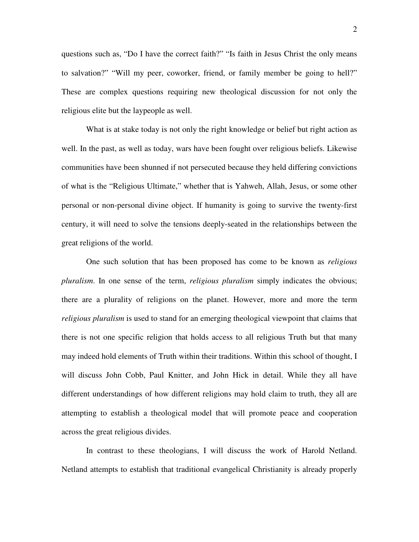questions such as, "Do I have the correct faith?" "Is faith in Jesus Christ the only means to salvation?" "Will my peer, coworker, friend, or family member be going to hell?" These are complex questions requiring new theological discussion for not only the religious elite but the laypeople as well.

 What is at stake today is not only the right knowledge or belief but right action as well. In the past, as well as today, wars have been fought over religious beliefs. Likewise communities have been shunned if not persecuted because they held differing convictions of what is the "Religious Ultimate," whether that is Yahweh, Allah, Jesus, or some other personal or non-personal divine object. If humanity is going to survive the twenty-first century, it will need to solve the tensions deeply-seated in the relationships between the great religions of the world.

 One such solution that has been proposed has come to be known as *religious pluralism*. In one sense of the term, *religious pluralism* simply indicates the obvious; there are a plurality of religions on the planet. However, more and more the term *religious pluralism* is used to stand for an emerging theological viewpoint that claims that there is not one specific religion that holds access to all religious Truth but that many may indeed hold elements of Truth within their traditions. Within this school of thought, I will discuss John Cobb, Paul Knitter, and John Hick in detail. While they all have different understandings of how different religions may hold claim to truth, they all are attempting to establish a theological model that will promote peace and cooperation across the great religious divides.

 In contrast to these theologians, I will discuss the work of Harold Netland. Netland attempts to establish that traditional evangelical Christianity is already properly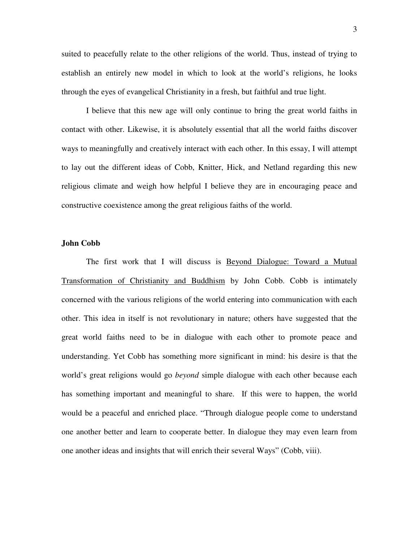suited to peacefully relate to the other religions of the world. Thus, instead of trying to establish an entirely new model in which to look at the world's religions, he looks through the eyes of evangelical Christianity in a fresh, but faithful and true light.

 I believe that this new age will only continue to bring the great world faiths in contact with other. Likewise, it is absolutely essential that all the world faiths discover ways to meaningfully and creatively interact with each other. In this essay, I will attempt to lay out the different ideas of Cobb, Knitter, Hick, and Netland regarding this new religious climate and weigh how helpful I believe they are in encouraging peace and constructive coexistence among the great religious faiths of the world.

#### **John Cobb**

The first work that I will discuss is Beyond Dialogue: Toward a Mutual Transformation of Christianity and Buddhism by John Cobb. Cobb is intimately concerned with the various religions of the world entering into communication with each other. This idea in itself is not revolutionary in nature; others have suggested that the great world faiths need to be in dialogue with each other to promote peace and understanding. Yet Cobb has something more significant in mind: his desire is that the world's great religions would go *beyond* simple dialogue with each other because each has something important and meaningful to share. If this were to happen, the world would be a peaceful and enriched place. "Through dialogue people come to understand one another better and learn to cooperate better. In dialogue they may even learn from one another ideas and insights that will enrich their several Ways" (Cobb, viii).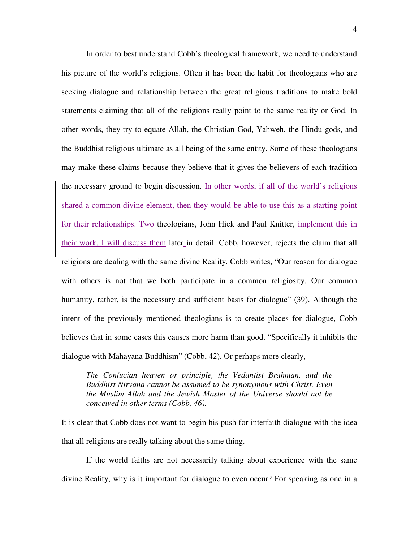In order to best understand Cobb's theological framework, we need to understand his picture of the world's religions. Often it has been the habit for theologians who are seeking dialogue and relationship between the great religious traditions to make bold statements claiming that all of the religions really point to the same reality or God. In other words, they try to equate Allah, the Christian God, Yahweh, the Hindu gods, and the Buddhist religious ultimate as all being of the same entity. Some of these theologians may make these claims because they believe that it gives the believers of each tradition the necessary ground to begin discussion. In other words, if all of the world's religions shared a common divine element, then they would be able to use this as a starting point for their relationships. Two theologians, John Hick and Paul Knitter, implement this in their work. I will discuss them later in detail. Cobb, however, rejects the claim that all religions are dealing with the same divine Reality. Cobb writes, "Our reason for dialogue with others is not that we both participate in a common religiosity. Our common humanity, rather, is the necessary and sufficient basis for dialogue" (39). Although the intent of the previously mentioned theologians is to create places for dialogue, Cobb believes that in some cases this causes more harm than good. "Specifically it inhibits the dialogue with Mahayana Buddhism" (Cobb, 42). Or perhaps more clearly,

*The Confucian heaven or principle, the Vedantist Brahman, and the Buddhist Nirvana cannot be assumed to be synonymous with Christ. Even the Muslim Allah and the Jewish Master of the Universe should not be conceived in other terms (Cobb, 46).* 

It is clear that Cobb does not want to begin his push for interfaith dialogue with the idea that all religions are really talking about the same thing.

If the world faiths are not necessarily talking about experience with the same divine Reality, why is it important for dialogue to even occur? For speaking as one in a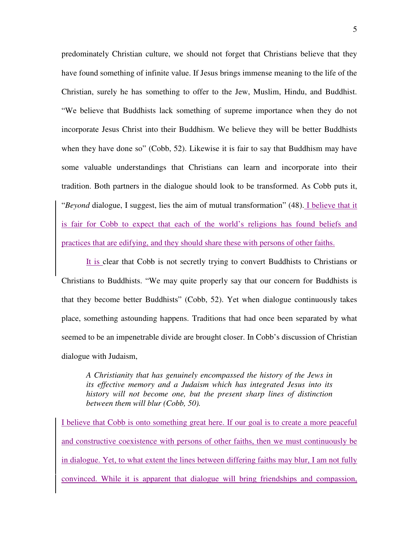predominately Christian culture, we should not forget that Christians believe that they have found something of infinite value. If Jesus brings immense meaning to the life of the Christian, surely he has something to offer to the Jew, Muslim, Hindu, and Buddhist. "We believe that Buddhists lack something of supreme importance when they do not incorporate Jesus Christ into their Buddhism. We believe they will be better Buddhists when they have done so" (Cobb, 52). Likewise it is fair to say that Buddhism may have some valuable understandings that Christians can learn and incorporate into their tradition. Both partners in the dialogue should look to be transformed. As Cobb puts it, "*Beyond* dialogue, I suggest, lies the aim of mutual transformation" (48). I believe that it is fair for Cobb to expect that each of the world's religions has found beliefs and practices that are edifying, and they should share these with persons of other faiths.

It is clear that Cobb is not secretly trying to convert Buddhists to Christians or Christians to Buddhists. "We may quite properly say that our concern for Buddhists is that they become better Buddhists" (Cobb, 52). Yet when dialogue continuously takes place, something astounding happens. Traditions that had once been separated by what seemed to be an impenetrable divide are brought closer. In Cobb's discussion of Christian dialogue with Judaism,

*A Christianity that has genuinely encompassed the history of the Jews in its effective memory and a Judaism which has integrated Jesus into its history will not become one, but the present sharp lines of distinction between them will blur (Cobb, 50).* 

I believe that Cobb is onto something great here. If our goal is to create a more peaceful and constructive coexistence with persons of other faiths, then we must continuously be in dialogue. Yet, to what extent the lines between differing faiths may blur, I am not fully convinced. While it is apparent that dialogue will bring friendships and compassion,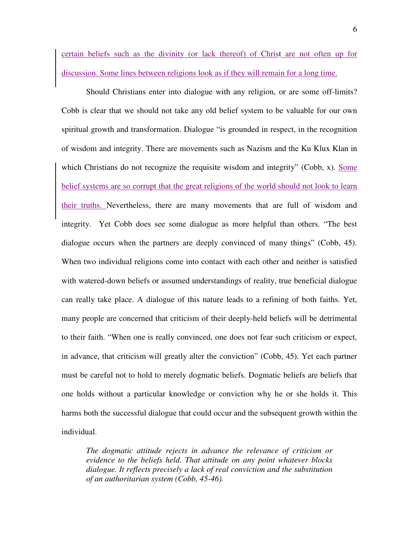certain beliefs such as the divinity (or lack thereof) of Christ are not often up for discussion. Some lines between religions look as if they will remain for a long time.

Should Christians enter into dialogue with any religion, or are some off-limits? Cobb is clear that we should not take any old belief system to be valuable for our own spiritual growth and transformation. Dialogue "is grounded in respect, in the recognition of wisdom and integrity. There are movements such as Nazism and the Ku Klux Klan in which Christians do not recognize the requisite wisdom and integrity" (Cobb, x). Some belief systems are so corrupt that the great religions of the world should not look to learn their truths. Nevertheless, there are many movements that are full of wisdom and integrity. Yet Cobb does see some dialogue as more helpful than others. "The best dialogue occurs when the partners are deeply convinced of many things" (Cobb, 45). When two individual religions come into contact with each other and neither is satisfied with watered-down beliefs or assumed understandings of reality, true beneficial dialogue can really take place. A dialogue of this nature leads to a refining of both faiths. Yet, many people are concerned that criticism of their deeply-held beliefs will be detrimental to their faith. "When one is really convinced, one does not fear such criticism or expect, in advance, that criticism will greatly alter the conviction" (Cobb, 45). Yet each partner must be careful not to hold to merely dogmatic beliefs. Dogmatic beliefs are beliefs that one holds without a particular knowledge or conviction why he or she holds it. This harms both the successful dialogue that could occur and the subsequent growth within the individual.

*The dogmatic attitude rejects in advance the relevance of criticism or evidence to the beliefs held. That attitude on any point whatever blocks dialogue. It reflects precisely a lack of real conviction and the substitution of an authoritarian system (Cobb, 45-46).*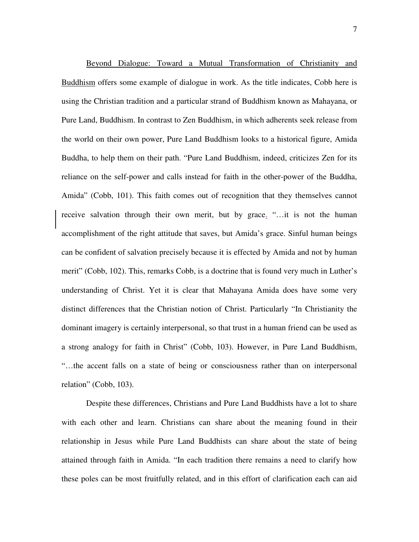Beyond Dialogue: Toward a Mutual Transformation of Christianity and Buddhism offers some example of dialogue in work. As the title indicates, Cobb here is using the Christian tradition and a particular strand of Buddhism known as Mahayana, or Pure Land, Buddhism. In contrast to Zen Buddhism, in which adherents seek release from the world on their own power, Pure Land Buddhism looks to a historical figure, Amida Buddha, to help them on their path. "Pure Land Buddhism, indeed, criticizes Zen for its reliance on the self-power and calls instead for faith in the other-power of the Buddha, Amida" (Cobb, 101). This faith comes out of recognition that they themselves cannot receive salvation through their own merit, but by grace. "…it is not the human accomplishment of the right attitude that saves, but Amida's grace. Sinful human beings can be confident of salvation precisely because it is effected by Amida and not by human merit" (Cobb, 102). This, remarks Cobb, is a doctrine that is found very much in Luther's understanding of Christ. Yet it is clear that Mahayana Amida does have some very distinct differences that the Christian notion of Christ. Particularly "In Christianity the dominant imagery is certainly interpersonal, so that trust in a human friend can be used as a strong analogy for faith in Christ" (Cobb, 103). However, in Pure Land Buddhism, "…the accent falls on a state of being or consciousness rather than on interpersonal relation" (Cobb, 103).

Despite these differences, Christians and Pure Land Buddhists have a lot to share with each other and learn. Christians can share about the meaning found in their relationship in Jesus while Pure Land Buddhists can share about the state of being attained through faith in Amida. "In each tradition there remains a need to clarify how these poles can be most fruitfully related, and in this effort of clarification each can aid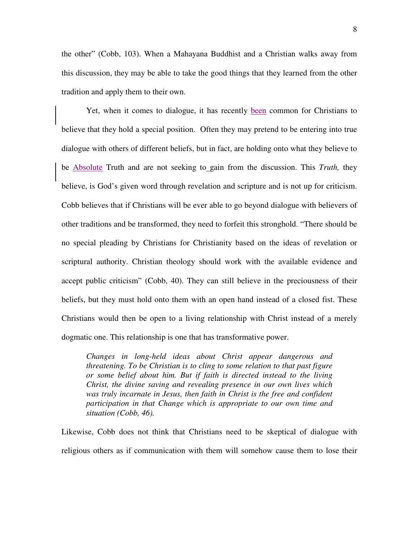the other" (Cobb, 103). When a Mahayana Buddhist and a Christian walks away from this discussion, they may be able to take the good things that they learned from the other tradition and apply them to their own.

Yet, when it comes to dialogue, it has recently been common for Christians to believe that they hold a special position. Often they may pretend to be entering into true dialogue with others of different beliefs, but in fact, are holding onto what they believe to be Absolute Truth and are not seeking to gain from the discussion. This *Truth,* they believe, is God's given word through revelation and scripture and is not up for criticism. Cobb believes that if Christians will be ever able to go beyond dialogue with believers of other traditions and be transformed, they need to forfeit this stronghold. "There should be no special pleading by Christians for Christianity based on the ideas of revelation or scriptural authority. Christian theology should work with the available evidence and accept public criticism" (Cobb, 40). They can still believe in the preciousness of their beliefs, but they must hold onto them with an open hand instead of a closed fist. These Christians would then be open to a living relationship with Christ instead of a merely dogmatic one. This relationship is one that has transformative power.

*Changes in long-held ideas about Christ appear dangerous and threatening. To be Christian is to cling to some relation to that past figure or some belief about him. But if faith is directed instead to the living Christ, the divine saving and revealing presence in our own lives which*  was truly incarnate in Jesus, then faith in Christ is the free and confident *participation in that Change which is appropriate to our own time and situation (Cobb, 46).* 

Likewise, Cobb does not think that Christians need to be skeptical of dialogue with religious others as if communication with them will somehow cause them to lose their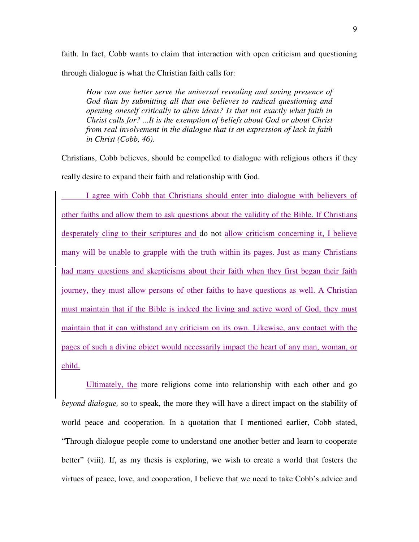faith. In fact, Cobb wants to claim that interaction with open criticism and questioning through dialogue is what the Christian faith calls for:

*How can one better serve the universal revealing and saving presence of God than by submitting all that one believes to radical questioning and opening oneself critically to alien ideas? Is that not exactly what faith in Christ calls for? ...It is the exemption of beliefs about God or about Christ from real involvement in the dialogue that is an expression of lack in faith in Christ (Cobb, 46).* 

Christians, Cobb believes, should be compelled to dialogue with religious others if they really desire to expand their faith and relationship with God.

 I agree with Cobb that Christians should enter into dialogue with believers of other faiths and allow them to ask questions about the validity of the Bible. If Christians desperately cling to their scriptures and do not allow criticism concerning it, I believe many will be unable to grapple with the truth within its pages. Just as many Christians had many questions and skepticisms about their faith when they first began their faith journey, they must allow persons of other faiths to have questions as well. A Christian must maintain that if the Bible is indeed the living and active word of God, they must maintain that it can withstand any criticism on its own. Likewise, any contact with the pages of such a divine object would necessarily impact the heart of any man, woman, or child.

Ultimately, the more religions come into relationship with each other and go *beyond dialogue,* so to speak, the more they will have a direct impact on the stability of world peace and cooperation. In a quotation that I mentioned earlier, Cobb stated, "Through dialogue people come to understand one another better and learn to cooperate better" (viii). If, as my thesis is exploring, we wish to create a world that fosters the virtues of peace, love, and cooperation, I believe that we need to take Cobb's advice and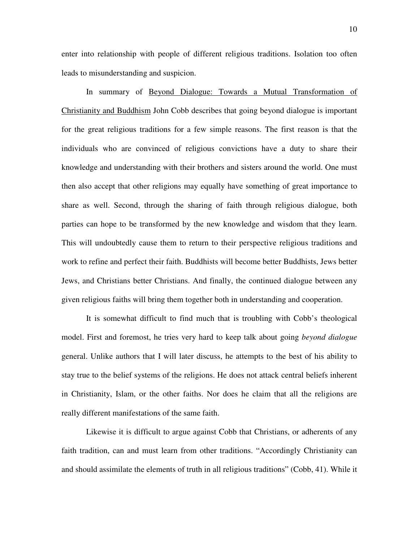enter into relationship with people of different religious traditions. Isolation too often leads to misunderstanding and suspicion.

In summary of Beyond Dialogue: Towards a Mutual Transformation of Christianity and Buddhism John Cobb describes that going beyond dialogue is important for the great religious traditions for a few simple reasons. The first reason is that the individuals who are convinced of religious convictions have a duty to share their knowledge and understanding with their brothers and sisters around the world. One must then also accept that other religions may equally have something of great importance to share as well. Second, through the sharing of faith through religious dialogue, both parties can hope to be transformed by the new knowledge and wisdom that they learn. This will undoubtedly cause them to return to their perspective religious traditions and work to refine and perfect their faith. Buddhists will become better Buddhists, Jews better Jews, and Christians better Christians. And finally, the continued dialogue between any given religious faiths will bring them together both in understanding and cooperation.

It is somewhat difficult to find much that is troubling with Cobb's theological model. First and foremost, he tries very hard to keep talk about going *beyond dialogue* general. Unlike authors that I will later discuss, he attempts to the best of his ability to stay true to the belief systems of the religions. He does not attack central beliefs inherent in Christianity, Islam, or the other faiths. Nor does he claim that all the religions are really different manifestations of the same faith.

Likewise it is difficult to argue against Cobb that Christians, or adherents of any faith tradition, can and must learn from other traditions. "Accordingly Christianity can and should assimilate the elements of truth in all religious traditions" (Cobb, 41). While it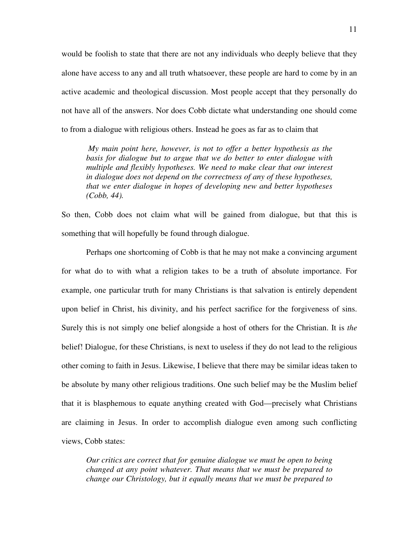would be foolish to state that there are not any individuals who deeply believe that they alone have access to any and all truth whatsoever, these people are hard to come by in an active academic and theological discussion. Most people accept that they personally do not have all of the answers. Nor does Cobb dictate what understanding one should come to from a dialogue with religious others. Instead he goes as far as to claim that

 *My main point here, however, is not to offer a better hypothesis as the basis for dialogue but to argue that we do better to enter dialogue with multiple and flexibly hypotheses. We need to make clear that our interest in dialogue does not depend on the correctness of any of these hypotheses, that we enter dialogue in hopes of developing new and better hypotheses (Cobb, 44).* 

So then, Cobb does not claim what will be gained from dialogue, but that this is something that will hopefully be found through dialogue.

 Perhaps one shortcoming of Cobb is that he may not make a convincing argument for what do to with what a religion takes to be a truth of absolute importance. For example, one particular truth for many Christians is that salvation is entirely dependent upon belief in Christ, his divinity, and his perfect sacrifice for the forgiveness of sins. Surely this is not simply one belief alongside a host of others for the Christian. It is *the*  belief! Dialogue, for these Christians, is next to useless if they do not lead to the religious other coming to faith in Jesus. Likewise, I believe that there may be similar ideas taken to be absolute by many other religious traditions. One such belief may be the Muslim belief that it is blasphemous to equate anything created with God—precisely what Christians are claiming in Jesus. In order to accomplish dialogue even among such conflicting views, Cobb states:

*Our critics are correct that for genuine dialogue we must be open to being changed at any point whatever. That means that we must be prepared to change our Christology, but it equally means that we must be prepared to*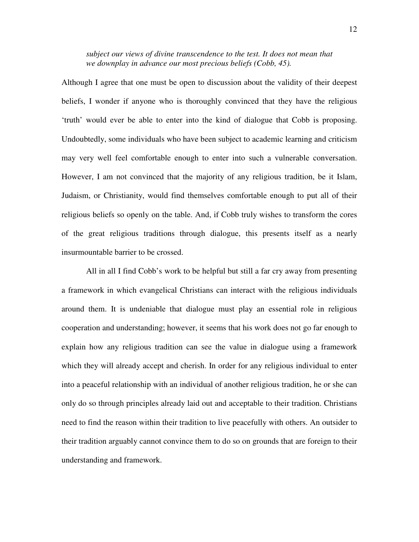*subject our views of divine transcendence to the test. It does not mean that we downplay in advance our most precious beliefs (Cobb, 45).* 

Although I agree that one must be open to discussion about the validity of their deepest beliefs, I wonder if anyone who is thoroughly convinced that they have the religious 'truth' would ever be able to enter into the kind of dialogue that Cobb is proposing. Undoubtedly, some individuals who have been subject to academic learning and criticism may very well feel comfortable enough to enter into such a vulnerable conversation. However, I am not convinced that the majority of any religious tradition, be it Islam, Judaism, or Christianity, would find themselves comfortable enough to put all of their religious beliefs so openly on the table. And, if Cobb truly wishes to transform the cores of the great religious traditions through dialogue, this presents itself as a nearly insurmountable barrier to be crossed.

 All in all I find Cobb's work to be helpful but still a far cry away from presenting a framework in which evangelical Christians can interact with the religious individuals around them. It is undeniable that dialogue must play an essential role in religious cooperation and understanding; however, it seems that his work does not go far enough to explain how any religious tradition can see the value in dialogue using a framework which they will already accept and cherish. In order for any religious individual to enter into a peaceful relationship with an individual of another religious tradition, he or she can only do so through principles already laid out and acceptable to their tradition. Christians need to find the reason within their tradition to live peacefully with others. An outsider to their tradition arguably cannot convince them to do so on grounds that are foreign to their understanding and framework.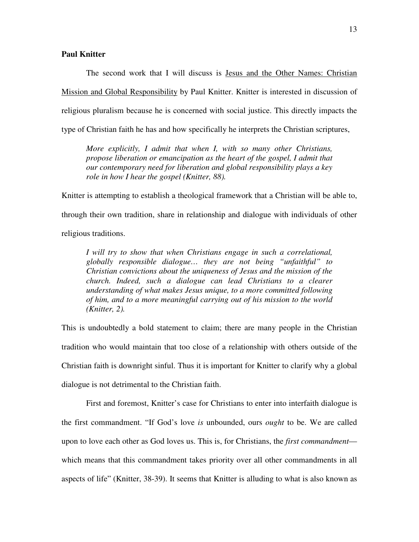### **Paul Knitter**

 The second work that I will discuss is Jesus and the Other Names: Christian Mission and Global Responsibility by Paul Knitter. Knitter is interested in discussion of religious pluralism because he is concerned with social justice. This directly impacts the type of Christian faith he has and how specifically he interprets the Christian scriptures,

*More explicitly, I admit that when I, with so many other Christians, propose liberation or emancipation as the heart of the gospel, I admit that our contemporary need for liberation and global responsibility plays a key role in how I hear the gospel (Knitter, 88).* 

Knitter is attempting to establish a theological framework that a Christian will be able to, through their own tradition, share in relationship and dialogue with individuals of other religious traditions.

*I will try to show that when Christians engage in such a correlational, globally responsible dialogue… they are not being "unfaithful" to Christian convictions about the uniqueness of Jesus and the mission of the church. Indeed, such a dialogue can lead Christians to a clearer understanding of what makes Jesus unique, to a more committed following of him, and to a more meaningful carrying out of his mission to the world (Knitter, 2).* 

This is undoubtedly a bold statement to claim; there are many people in the Christian tradition who would maintain that too close of a relationship with others outside of the Christian faith is downright sinful. Thus it is important for Knitter to clarify why a global dialogue is not detrimental to the Christian faith.

 First and foremost, Knitter's case for Christians to enter into interfaith dialogue is the first commandment. "If God's love *is* unbounded, ours *ought* to be. We are called upon to love each other as God loves us. This is, for Christians, the *first commandment* which means that this commandment takes priority over all other commandments in all aspects of life" (Knitter, 38-39). It seems that Knitter is alluding to what is also known as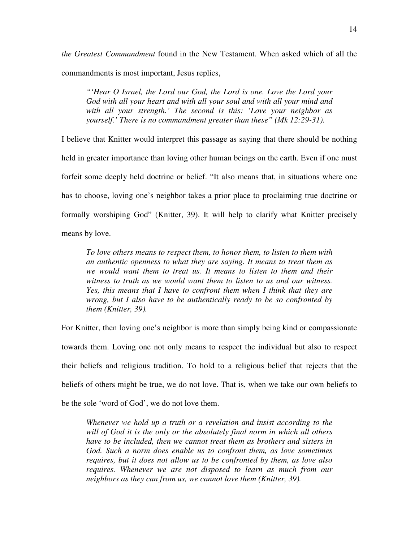*the Greatest Commandment* found in the New Testament. When asked which of all the commandments is most important, Jesus replies,

*"'Hear O Israel, the Lord our God, the Lord is one. Love the Lord your God with all your heart and with all your soul and with all your mind and with all your strength.' The second is this: 'Love your neighbor as yourself.' There is no commandment greater than these" (Mk 12:29-31).* 

I believe that Knitter would interpret this passage as saying that there should be nothing held in greater importance than loving other human beings on the earth. Even if one must forfeit some deeply held doctrine or belief. "It also means that, in situations where one has to choose, loving one's neighbor takes a prior place to proclaiming true doctrine or formally worshiping God" (Knitter, 39). It will help to clarify what Knitter precisely means by love.

*To love others means to respect them, to honor them, to listen to them with an authentic openness to what they are saying. It means to treat them as we would want them to treat us. It means to listen to them and their witness to truth as we would want them to listen to us and our witness. Yes, this means that I have to confront them when I think that they are wrong, but I also have to be authentically ready to be so confronted by them (Knitter, 39).* 

For Knitter, then loving one's neighbor is more than simply being kind or compassionate towards them. Loving one not only means to respect the individual but also to respect their beliefs and religious tradition. To hold to a religious belief that rejects that the beliefs of others might be true, we do not love. That is, when we take our own beliefs to be the sole 'word of God', we do not love them.

*Whenever we hold up a truth or a revelation and insist according to the will of God it is the only or the absolutely final norm in which all others have to be included, then we cannot treat them as brothers and sisters in God. Such a norm does enable us to confront them, as love sometimes requires, but it does not allow us to be confronted by them, as love also requires. Whenever we are not disposed to learn as much from our neighbors as they can from us, we cannot love them (Knitter, 39).*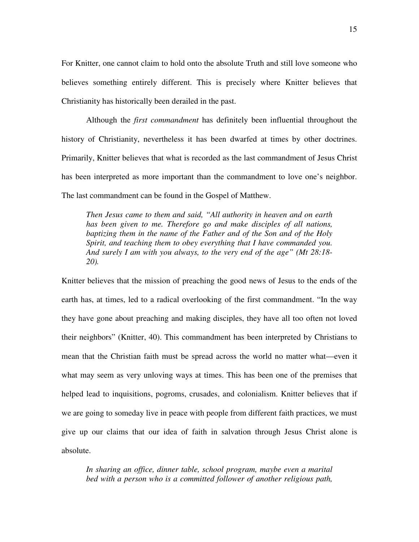For Knitter, one cannot claim to hold onto the absolute Truth and still love someone who believes something entirely different. This is precisely where Knitter believes that Christianity has historically been derailed in the past.

 Although the *first commandment* has definitely been influential throughout the history of Christianity, nevertheless it has been dwarfed at times by other doctrines. Primarily, Knitter believes that what is recorded as the last commandment of Jesus Christ has been interpreted as more important than the commandment to love one's neighbor. The last commandment can be found in the Gospel of Matthew.

*Then Jesus came to them and said, "All authority in heaven and on earth has been given to me. Therefore go and make disciples of all nations, baptizing them in the name of the Father and of the Son and of the Holy Spirit, and teaching them to obey everything that I have commanded you. And surely I am with you always, to the very end of the age" (Mt 28:18- 20).* 

Knitter believes that the mission of preaching the good news of Jesus to the ends of the earth has, at times, led to a radical overlooking of the first commandment. "In the way they have gone about preaching and making disciples, they have all too often not loved their neighbors" (Knitter, 40). This commandment has been interpreted by Christians to mean that the Christian faith must be spread across the world no matter what—even it what may seem as very unloving ways at times. This has been one of the premises that helped lead to inquisitions, pogroms, crusades, and colonialism. Knitter believes that if we are going to someday live in peace with people from different faith practices, we must give up our claims that our idea of faith in salvation through Jesus Christ alone is absolute.

*In sharing an office, dinner table, school program, maybe even a marital bed with a person who is a committed follower of another religious path,*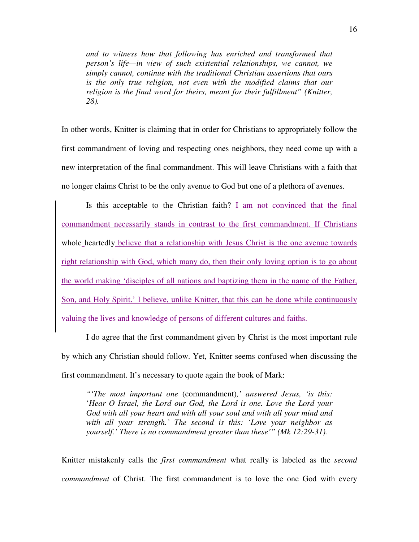*and to witness how that following has enriched and transformed that person's life—in view of such existential relationships, we cannot, we simply cannot, continue with the traditional Christian assertions that ours is the only true religion, not even with the modified claims that our religion is the final word for theirs, meant for their fulfillment" (Knitter, 28).* 

In other words, Knitter is claiming that in order for Christians to appropriately follow the first commandment of loving and respecting ones neighbors, they need come up with a new interpretation of the final commandment. This will leave Christians with a faith that no longer claims Christ to be the only avenue to God but one of a plethora of avenues.

Is this acceptable to the Christian faith?  $I$  am not convinced that the final commandment necessarily stands in contrast to the first commandment. If Christians whole heartedly believe that a relationship with Jesus Christ is the one avenue towards right relationship with God, which many do, then their only loving option is to go about the world making 'disciples of all nations and baptizing them in the name of the Father, Son, and Holy Spirit.' I believe, unlike Knitter, that this can be done while continuously valuing the lives and knowledge of persons of different cultures and faiths.

I do agree that the first commandment given by Christ is the most important rule by which any Christian should follow. Yet, Knitter seems confused when discussing the first commandment. It's necessary to quote again the book of Mark:

*"'The most important one* (commandment)*,' answered Jesus, 'is this:*  '*Hear O Israel, the Lord our God, the Lord is one. Love the Lord your God with all your heart and with all your soul and with all your mind and with all your strength.' The second is this: 'Love your neighbor as yourself.' There is no commandment greater than these'" (Mk 12:29-31).* 

Knitter mistakenly calls the *first commandment* what really is labeled as the *second commandment* of Christ. The first commandment is to love the one God with every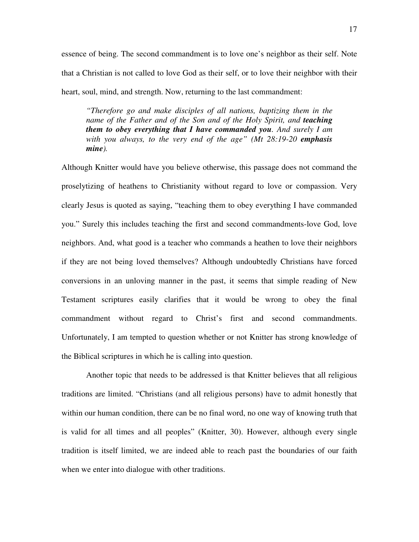essence of being. The second commandment is to love one's neighbor as their self. Note that a Christian is not called to love God as their self, or to love their neighbor with their heart, soul, mind, and strength. Now, returning to the last commandment:

*"Therefore go and make disciples of all nations, baptizing them in the name of the Father and of the Son and of the Holy Spirit, and <i>teaching them to obey everything that I have commanded you. And surely I am with you always, to the very end of the age" (Mt 28:19-20 emphasis mine).* 

Although Knitter would have you believe otherwise, this passage does not command the proselytizing of heathens to Christianity without regard to love or compassion. Very clearly Jesus is quoted as saying, "teaching them to obey everything I have commanded you." Surely this includes teaching the first and second commandments-love God, love neighbors. And, what good is a teacher who commands a heathen to love their neighbors if they are not being loved themselves? Although undoubtedly Christians have forced conversions in an unloving manner in the past, it seems that simple reading of New Testament scriptures easily clarifies that it would be wrong to obey the final commandment without regard to Christ's first and second commandments. Unfortunately, I am tempted to question whether or not Knitter has strong knowledge of the Biblical scriptures in which he is calling into question.

Another topic that needs to be addressed is that Knitter believes that all religious traditions are limited. "Christians (and all religious persons) have to admit honestly that within our human condition, there can be no final word, no one way of knowing truth that is valid for all times and all peoples" (Knitter, 30). However, although every single tradition is itself limited, we are indeed able to reach past the boundaries of our faith when we enter into dialogue with other traditions.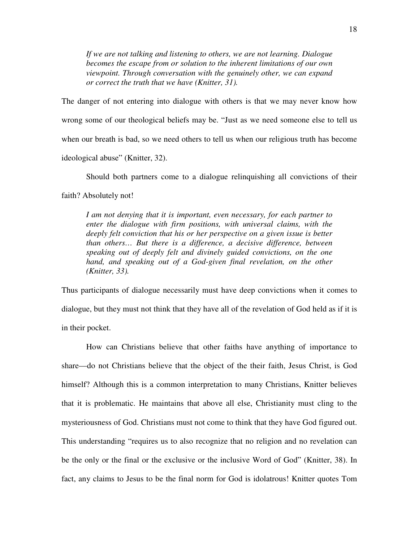*If we are not talking and listening to others, we are not learning. Dialogue becomes the escape from or solution to the inherent limitations of our own viewpoint. Through conversation with the genuinely other, we can expand or correct the truth that we have (Knitter, 31).* 

The danger of not entering into dialogue with others is that we may never know how wrong some of our theological beliefs may be. "Just as we need someone else to tell us when our breath is bad, so we need others to tell us when our religious truth has become ideological abuse" (Knitter, 32).

Should both partners come to a dialogue relinquishing all convictions of their

faith? Absolutely not!

*I am not denying that it is important, even necessary, for each partner to enter the dialogue with firm positions, with universal claims, with the deeply felt conviction that his or her perspective on a given issue is better than others… But there is a difference, a decisive difference, between speaking out of deeply felt and divinely guided convictions, on the one hand, and speaking out of a God-given final revelation, on the other (Knitter, 33).* 

Thus participants of dialogue necessarily must have deep convictions when it comes to dialogue, but they must not think that they have all of the revelation of God held as if it is in their pocket.

 How can Christians believe that other faiths have anything of importance to share—do not Christians believe that the object of the their faith, Jesus Christ, is God himself? Although this is a common interpretation to many Christians, Knitter believes that it is problematic. He maintains that above all else, Christianity must cling to the mysteriousness of God. Christians must not come to think that they have God figured out. This understanding "requires us to also recognize that no religion and no revelation can be the only or the final or the exclusive or the inclusive Word of God" (Knitter, 38). In fact, any claims to Jesus to be the final norm for God is idolatrous! Knitter quotes Tom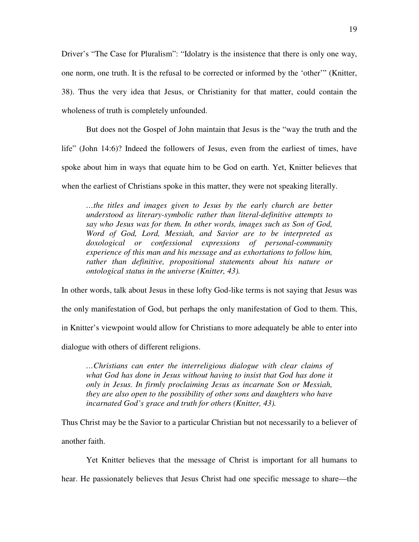Driver's "The Case for Pluralism": "Idolatry is the insistence that there is only one way, one norm, one truth. It is the refusal to be corrected or informed by the 'other'" (Knitter, 38). Thus the very idea that Jesus, or Christianity for that matter, could contain the wholeness of truth is completely unfounded.

 But does not the Gospel of John maintain that Jesus is the "way the truth and the life" (John 14:6)? Indeed the followers of Jesus, even from the earliest of times, have spoke about him in ways that equate him to be God on earth. Yet, Knitter believes that when the earliest of Christians spoke in this matter, they were not speaking literally.

*…the titles and images given to Jesus by the early church are better understood as literary-symbolic rather than literal-definitive attempts to say who Jesus was for them. In other words, images such as Son of God, Word of God, Lord, Messiah, and Savior are to be interpreted as doxological or confessional expressions of personal-community experience of this man and his message and as exhortations to follow him, rather than definitive, propositional statements about his nature or ontological status in the universe (Knitter, 43).* 

In other words, talk about Jesus in these lofty God-like terms is not saying that Jesus was the only manifestation of God, but perhaps the only manifestation of God to them. This, in Knitter's viewpoint would allow for Christians to more adequately be able to enter into dialogue with others of different religions.

*…Christians can enter the interreligious dialogue with clear claims of what God has done in Jesus without having to insist that God has done it only in Jesus. In firmly proclaiming Jesus as incarnate Son or Messiah, they are also open to the possibility of other sons and daughters who have incarnated God's grace and truth for others (Knitter, 43).* 

Thus Christ may be the Savior to a particular Christian but not necessarily to a believer of another faith.

Yet Knitter believes that the message of Christ is important for all humans to

hear. He passionately believes that Jesus Christ had one specific message to share—the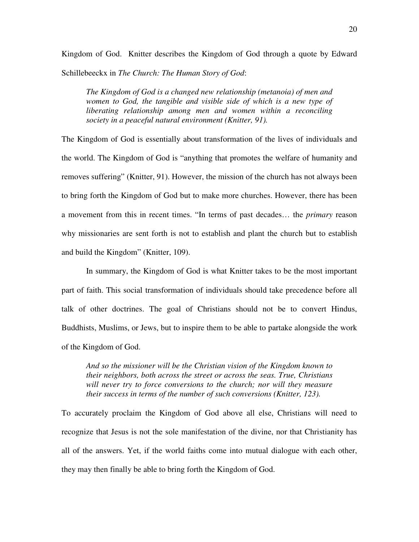Kingdom of God. Knitter describes the Kingdom of God through a quote by Edward Schillebeeckx in *The Church: The Human Story of God*:

*The Kingdom of God is a changed new relationship (metanoia) of men and women to God, the tangible and visible side of which is a new type of liberating relationship among men and women within a reconciling society in a peaceful natural environment (Knitter, 91).* 

The Kingdom of God is essentially about transformation of the lives of individuals and the world. The Kingdom of God is "anything that promotes the welfare of humanity and removes suffering" (Knitter, 91). However, the mission of the church has not always been to bring forth the Kingdom of God but to make more churches. However, there has been a movement from this in recent times. "In terms of past decades… the *primary* reason why missionaries are sent forth is not to establish and plant the church but to establish and build the Kingdom" (Knitter, 109).

 In summary, the Kingdom of God is what Knitter takes to be the most important part of faith. This social transformation of individuals should take precedence before all talk of other doctrines. The goal of Christians should not be to convert Hindus, Buddhists, Muslims, or Jews, but to inspire them to be able to partake alongside the work of the Kingdom of God.

*And so the missioner will be the Christian vision of the Kingdom known to their neighbors, both across the street or across the seas. True, Christians will never try to force conversions to the church; nor will they measure their success in terms of the number of such conversions (Knitter, 123).* 

To accurately proclaim the Kingdom of God above all else, Christians will need to recognize that Jesus is not the sole manifestation of the divine, nor that Christianity has all of the answers. Yet, if the world faiths come into mutual dialogue with each other, they may then finally be able to bring forth the Kingdom of God.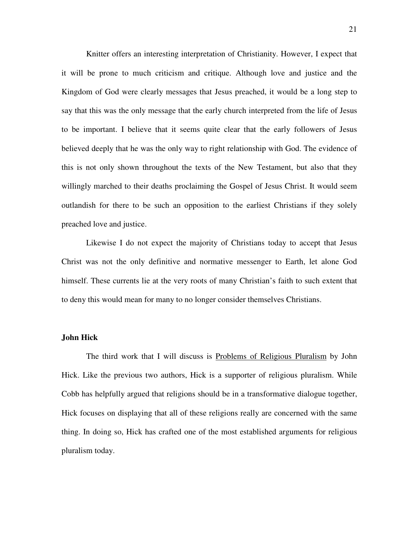Knitter offers an interesting interpretation of Christianity. However, I expect that it will be prone to much criticism and critique. Although love and justice and the Kingdom of God were clearly messages that Jesus preached, it would be a long step to say that this was the only message that the early church interpreted from the life of Jesus to be important. I believe that it seems quite clear that the early followers of Jesus believed deeply that he was the only way to right relationship with God. The evidence of this is not only shown throughout the texts of the New Testament, but also that they willingly marched to their deaths proclaiming the Gospel of Jesus Christ. It would seem outlandish for there to be such an opposition to the earliest Christians if they solely preached love and justice.

 Likewise I do not expect the majority of Christians today to accept that Jesus Christ was not the only definitive and normative messenger to Earth, let alone God himself. These currents lie at the very roots of many Christian's faith to such extent that to deny this would mean for many to no longer consider themselves Christians.

#### **John Hick**

 The third work that I will discuss is Problems of Religious Pluralism by John Hick. Like the previous two authors, Hick is a supporter of religious pluralism. While Cobb has helpfully argued that religions should be in a transformative dialogue together, Hick focuses on displaying that all of these religions really are concerned with the same thing. In doing so, Hick has crafted one of the most established arguments for religious pluralism today.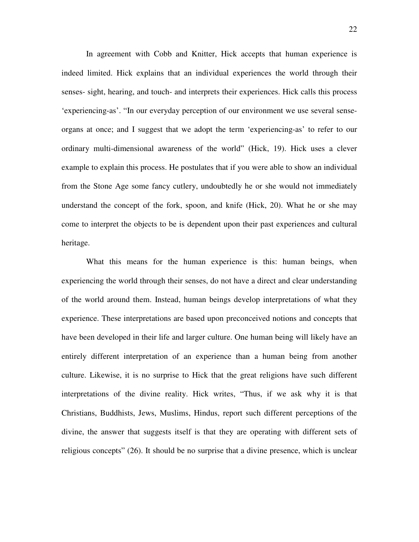In agreement with Cobb and Knitter, Hick accepts that human experience is indeed limited. Hick explains that an individual experiences the world through their senses- sight, hearing, and touch- and interprets their experiences. Hick calls this process 'experiencing-as'. "In our everyday perception of our environment we use several senseorgans at once; and I suggest that we adopt the term 'experiencing-as' to refer to our ordinary multi-dimensional awareness of the world" (Hick, 19). Hick uses a clever example to explain this process. He postulates that if you were able to show an individual from the Stone Age some fancy cutlery, undoubtedly he or she would not immediately understand the concept of the fork, spoon, and knife (Hick, 20). What he or she may come to interpret the objects to be is dependent upon their past experiences and cultural heritage.

 What this means for the human experience is this: human beings, when experiencing the world through their senses, do not have a direct and clear understanding of the world around them. Instead, human beings develop interpretations of what they experience. These interpretations are based upon preconceived notions and concepts that have been developed in their life and larger culture. One human being will likely have an entirely different interpretation of an experience than a human being from another culture. Likewise, it is no surprise to Hick that the great religions have such different interpretations of the divine reality. Hick writes, "Thus, if we ask why it is that Christians, Buddhists, Jews, Muslims, Hindus, report such different perceptions of the divine, the answer that suggests itself is that they are operating with different sets of religious concepts" (26). It should be no surprise that a divine presence, which is unclear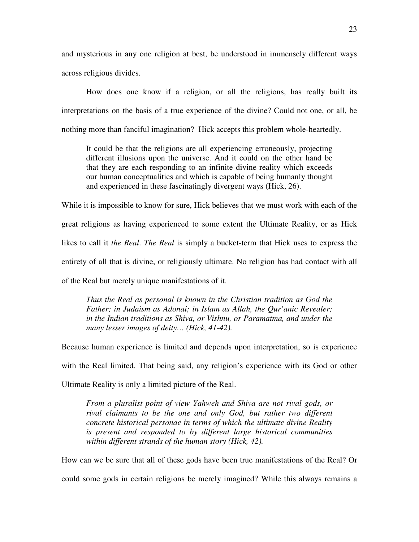and mysterious in any one religion at best, be understood in immensely different ways across religious divides.

 How does one know if a religion, or all the religions, has really built its interpretations on the basis of a true experience of the divine? Could not one, or all, be nothing more than fanciful imagination? Hick accepts this problem whole-heartedly.

It could be that the religions are all experiencing erroneously, projecting different illusions upon the universe. And it could on the other hand be that they are each responding to an infinite divine reality which exceeds our human conceptualities and which is capable of being humanly thought and experienced in these fascinatingly divergent ways (Hick, 26).

While it is impossible to know for sure, Hick believes that we must work with each of the great religions as having experienced to some extent the Ultimate Reality, or as Hick likes to call it *the Real*. *The Real* is simply a bucket-term that Hick uses to express the entirety of all that is divine, or religiously ultimate. No religion has had contact with all of the Real but merely unique manifestations of it.

*Thus the Real as personal is known in the Christian tradition as God the Father; in Judaism as Adonai; in Islam as Allah, the Qur'anic Revealer; in the Indian traditions as Shiva, or Vishnu, or Paramatma, and under the many lesser images of deity… (Hick, 41-42).* 

Because human experience is limited and depends upon interpretation, so is experience with the Real limited. That being said, any religion's experience with its God or other Ultimate Reality is only a limited picture of the Real.

*From a pluralist point of view Yahweh and Shiva are not rival gods, or rival claimants to be the one and only God, but rather two different concrete historical personae in terms of which the ultimate divine Reality is present and responded to by different large historical communities within different strands of the human story (Hick, 42).* 

How can we be sure that all of these gods have been true manifestations of the Real? Or could some gods in certain religions be merely imagined? While this always remains a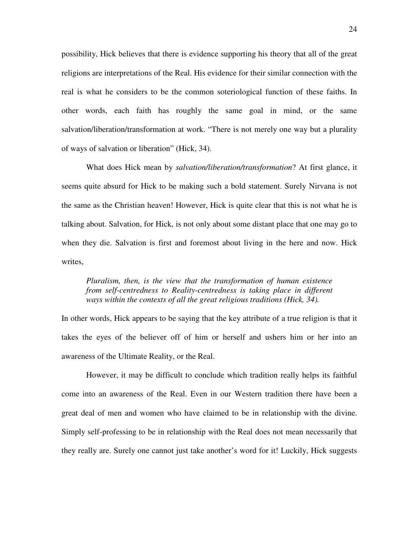possibility, Hick believes that there is evidence supporting his theory that all of the great religions are interpretations of the Real. His evidence for their similar connection with the real is what he considers to be the common soteriological function of these faiths. In other words, each faith has roughly the same goal in mind, or the same salvation/liberation/transformation at work. "There is not merely one way but a plurality of ways of salvation or liberation" (Hick, 34).

 What does Hick mean by *salvation/liberation/transformation*? At first glance, it seems quite absurd for Hick to be making such a bold statement. Surely Nirvana is not the same as the Christian heaven! However, Hick is quite clear that this is not what he is talking about. Salvation, for Hick, is not only about some distant place that one may go to when they die. Salvation is first and foremost about living in the here and now. Hick writes,

# *Pluralism, then, is the view that the transformation of human existence from self-centredness to Reality-centredness is taking place in different ways within the contexts of all the great religious traditions (Hick, 34).*

In other words, Hick appears to be saying that the key attribute of a true religion is that it takes the eyes of the believer off of him or herself and ushers him or her into an awareness of the Ultimate Reality, or the Real.

However, it may be difficult to conclude which tradition really helps its faithful come into an awareness of the Real. Even in our Western tradition there have been a great deal of men and women who have claimed to be in relationship with the divine. Simply self-professing to be in relationship with the Real does not mean necessarily that they really are. Surely one cannot just take another's word for it! Luckily, Hick suggests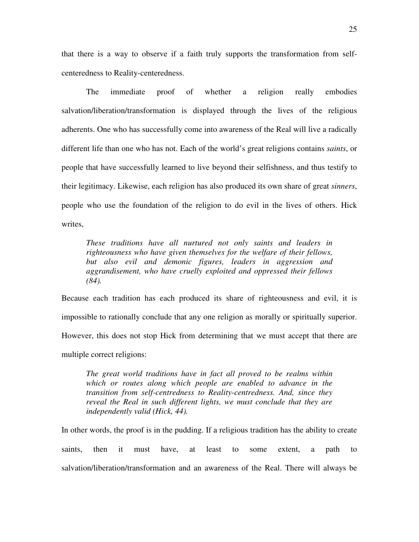that there is a way to observe if a faith truly supports the transformation from selfcenteredness to Reality-centeredness.

The immediate proof of whether a religion really embodies salvation/liberation/transformation is displayed through the lives of the religious adherents. One who has successfully come into awareness of the Real will live a radically different life than one who has not. Each of the world's great religions contains *saints*, or people that have successfully learned to live beyond their selfishness, and thus testify to their legitimacy. Likewise, each religion has also produced its own share of great *sinners*, people who use the foundation of the religion to do evil in the lives of others. Hick writes,

*These traditions have all nurtured not only saints and leaders in righteousness who have given themselves for the welfare of their fellows, but also evil and demonic figures, leaders in aggression and aggrandisement, who have cruelly exploited and oppressed their fellows (84).* 

Because each tradition has each produced its share of righteousness and evil, it is impossible to rationally conclude that any one religion as morally or spiritually superior. However, this does not stop Hick from determining that we must accept that there are multiple correct religions:

*The great world traditions have in fact all proved to be realms within which or routes along which people are enabled to advance in the transition from self-centredness to Reality-centredness. And, since they reveal the Real in such different lights, we must conclude that they are independently valid (Hick, 44).* 

In other words, the proof is in the pudding. If a religious tradition has the ability to create saints, then it must have, at least to some extent, a path to salvation/liberation/transformation and an awareness of the Real. There will always be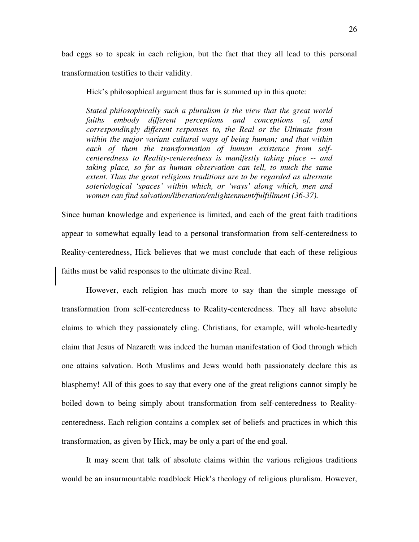bad eggs so to speak in each religion, but the fact that they all lead to this personal transformation testifies to their validity.

Hick's philosophical argument thus far is summed up in this quote:

*Stated philosophically such a pluralism is the view that the great world faiths embody different perceptions and conceptions of, and correspondingly different responses to, the Real or the Ultimate from within the major variant cultural ways of being human; and that within each of them the transformation of human existence from selfcenteredness to Reality-centeredness is manifestly taking place -- and taking place, so far as human observation can tell, to much the same extent. Thus the great religious traditions are to be regarded as alternate soteriological 'spaces' within which, or 'ways' along which, men and women can find salvation/liberation/enlightenment/fulfillment (36-37).* 

Since human knowledge and experience is limited, and each of the great faith traditions appear to somewhat equally lead to a personal transformation from self-centeredness to Reality-centeredness, Hick believes that we must conclude that each of these religious faiths must be valid responses to the ultimate divine Real.

 However, each religion has much more to say than the simple message of transformation from self-centeredness to Reality-centeredness. They all have absolute claims to which they passionately cling. Christians, for example, will whole-heartedly claim that Jesus of Nazareth was indeed the human manifestation of God through which one attains salvation. Both Muslims and Jews would both passionately declare this as blasphemy! All of this goes to say that every one of the great religions cannot simply be boiled down to being simply about transformation from self-centeredness to Realitycenteredness. Each religion contains a complex set of beliefs and practices in which this transformation, as given by Hick, may be only a part of the end goal.

It may seem that talk of absolute claims within the various religious traditions would be an insurmountable roadblock Hick's theology of religious pluralism. However,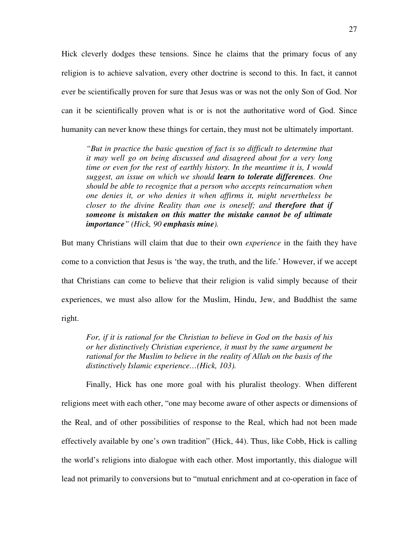Hick cleverly dodges these tensions. Since he claims that the primary focus of any religion is to achieve salvation, every other doctrine is second to this. In fact, it cannot ever be scientifically proven for sure that Jesus was or was not the only Son of God. Nor can it be scientifically proven what is or is not the authoritative word of God. Since humanity can never know these things for certain, they must not be ultimately important.

*"But in practice the basic question of fact is so difficult to determine that it may well go on being discussed and disagreed about for a very long time or even for the rest of earthly history. In the meantime it is, I would suggest, an issue on which we should learn to tolerate differences. One should be able to recognize that a person who accepts reincarnation when one denies it, or who denies it when affirms it, might nevertheless be closer to the divine Reality than one is oneself; and therefore that if someone is mistaken on this matter the mistake cannot be of ultimate importance" (Hick, 90 emphasis mine).* 

But many Christians will claim that due to their own *experience* in the faith they have come to a conviction that Jesus is 'the way, the truth, and the life.' However, if we accept that Christians can come to believe that their religion is valid simply because of their experiences, we must also allow for the Muslim, Hindu, Jew, and Buddhist the same right.

*For, if it is rational for the Christian to believe in God on the basis of his or her distinctively Christian experience, it must by the same argument be rational for the Muslim to believe in the reality of Allah on the basis of the distinctively Islamic experience…(Hick, 103).* 

Finally, Hick has one more goal with his pluralist theology. When different religions meet with each other, "one may become aware of other aspects or dimensions of the Real, and of other possibilities of response to the Real, which had not been made effectively available by one's own tradition" (Hick, 44). Thus, like Cobb, Hick is calling the world's religions into dialogue with each other. Most importantly, this dialogue will lead not primarily to conversions but to "mutual enrichment and at co-operation in face of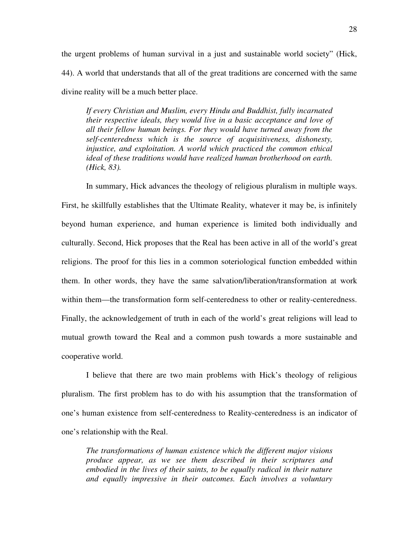the urgent problems of human survival in a just and sustainable world society" (Hick, 44). A world that understands that all of the great traditions are concerned with the same divine reality will be a much better place.

*If every Christian and Muslim, every Hindu and Buddhist, fully incarnated their respective ideals, they would live in a basic acceptance and love of all their fellow human beings. For they would have turned away from the self-centeredness which is the source of acquisitiveness, dishonesty, injustice, and exploitation. A world which practiced the common ethical ideal of these traditions would have realized human brotherhood on earth. (Hick, 83).* 

 In summary, Hick advances the theology of religious pluralism in multiple ways. First, he skillfully establishes that the Ultimate Reality, whatever it may be, is infinitely beyond human experience, and human experience is limited both individually and culturally. Second, Hick proposes that the Real has been active in all of the world's great religions. The proof for this lies in a common soteriological function embedded within them. In other words, they have the same salvation/liberation/transformation at work within them—the transformation form self-centeredness to other or reality-centeredness. Finally, the acknowledgement of truth in each of the world's great religions will lead to mutual growth toward the Real and a common push towards a more sustainable and cooperative world.

 I believe that there are two main problems with Hick's theology of religious pluralism. The first problem has to do with his assumption that the transformation of one's human existence from self-centeredness to Reality-centeredness is an indicator of one's relationship with the Real.

*The transformations of human existence which the different major visions produce appear, as we see them described in their scriptures and embodied in the lives of their saints, to be equally radical in their nature and equally impressive in their outcomes. Each involves a voluntary*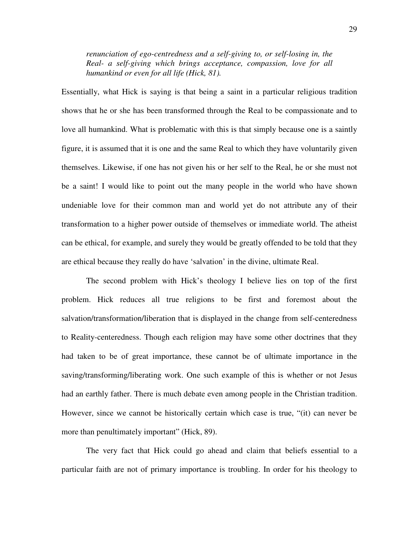*renunciation of ego-centredness and a self-giving to, or self-losing in, the Real- a self-giving which brings acceptance, compassion, love for all humankind or even for all life (Hick, 81).* 

Essentially, what Hick is saying is that being a saint in a particular religious tradition shows that he or she has been transformed through the Real to be compassionate and to love all humankind. What is problematic with this is that simply because one is a saintly figure, it is assumed that it is one and the same Real to which they have voluntarily given themselves. Likewise, if one has not given his or her self to the Real, he or she must not be a saint! I would like to point out the many people in the world who have shown undeniable love for their common man and world yet do not attribute any of their transformation to a higher power outside of themselves or immediate world. The atheist can be ethical, for example, and surely they would be greatly offended to be told that they are ethical because they really do have 'salvation' in the divine, ultimate Real.

 The second problem with Hick's theology I believe lies on top of the first problem. Hick reduces all true religions to be first and foremost about the salvation/transformation/liberation that is displayed in the change from self-centeredness to Reality-centeredness. Though each religion may have some other doctrines that they had taken to be of great importance, these cannot be of ultimate importance in the saving/transforming/liberating work. One such example of this is whether or not Jesus had an earthly father. There is much debate even among people in the Christian tradition. However, since we cannot be historically certain which case is true, "(it) can never be more than penultimately important" (Hick, 89).

 The very fact that Hick could go ahead and claim that beliefs essential to a particular faith are not of primary importance is troubling. In order for his theology to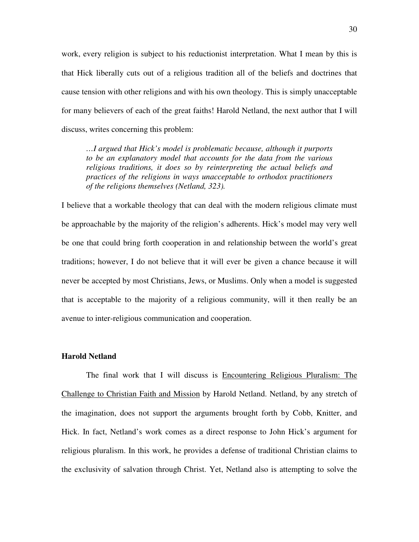work, every religion is subject to his reductionist interpretation. What I mean by this is that Hick liberally cuts out of a religious tradition all of the beliefs and doctrines that cause tension with other religions and with his own theology. This is simply unacceptable for many believers of each of the great faiths! Harold Netland, the next author that I will discuss, writes concerning this problem:

*…I argued that Hick's model is problematic because, although it purports to be an explanatory model that accounts for the data from the various religious traditions, it does so by reinterpreting the actual beliefs and practices of the religions in ways unacceptable to orthodox practitioners of the religions themselves (Netland, 323).* 

I believe that a workable theology that can deal with the modern religious climate must be approachable by the majority of the religion's adherents. Hick's model may very well be one that could bring forth cooperation in and relationship between the world's great traditions; however, I do not believe that it will ever be given a chance because it will never be accepted by most Christians, Jews, or Muslims. Only when a model is suggested that is acceptable to the majority of a religious community, will it then really be an avenue to inter-religious communication and cooperation.

#### **Harold Netland**

 The final work that I will discuss is Encountering Religious Pluralism: The Challenge to Christian Faith and Mission by Harold Netland. Netland, by any stretch of the imagination, does not support the arguments brought forth by Cobb, Knitter, and Hick. In fact, Netland's work comes as a direct response to John Hick's argument for religious pluralism. In this work, he provides a defense of traditional Christian claims to the exclusivity of salvation through Christ. Yet, Netland also is attempting to solve the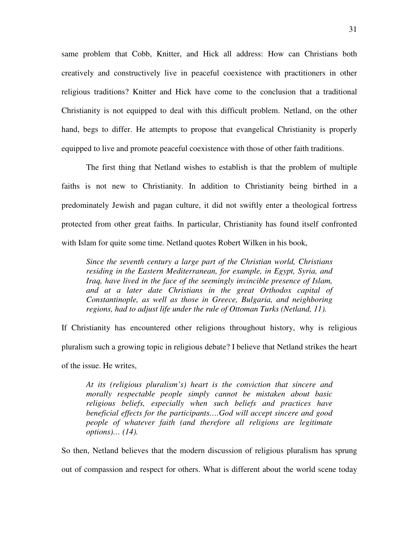same problem that Cobb, Knitter, and Hick all address: How can Christians both creatively and constructively live in peaceful coexistence with practitioners in other religious traditions? Knitter and Hick have come to the conclusion that a traditional Christianity is not equipped to deal with this difficult problem. Netland, on the other hand, begs to differ. He attempts to propose that evangelical Christianity is properly equipped to live and promote peaceful coexistence with those of other faith traditions.

 The first thing that Netland wishes to establish is that the problem of multiple faiths is not new to Christianity. In addition to Christianity being birthed in a predominately Jewish and pagan culture, it did not swiftly enter a theological fortress protected from other great faiths. In particular, Christianity has found itself confronted with Islam for quite some time. Netland quotes Robert Wilken in his book,

*Since the seventh century a large part of the Christian world, Christians residing in the Eastern Mediterranean, for example, in Egypt, Syria, and Iraq, have lived in the face of the seemingly invincible presence of Islam, and at a later date Christians in the great Orthodox capital of Constantinople, as well as those in Greece, Bulgaria, and neighboring regions, had to adjust life under the rule of Ottoman Turks (Netland, 11).* 

If Christianity has encountered other religions throughout history, why is religious pluralism such a growing topic in religious debate? I believe that Netland strikes the heart of the issue. He writes,

*At its (religious pluralism's) heart is the conviction that sincere and morally respectable people simply cannot be mistaken about basic religious beliefs, especially when such beliefs and practices have beneficial effects for the participants….God will accept sincere and good people of whatever faith (and therefore all religions are legitimate options)… (14).* 

So then, Netland believes that the modern discussion of religious pluralism has sprung out of compassion and respect for others. What is different about the world scene today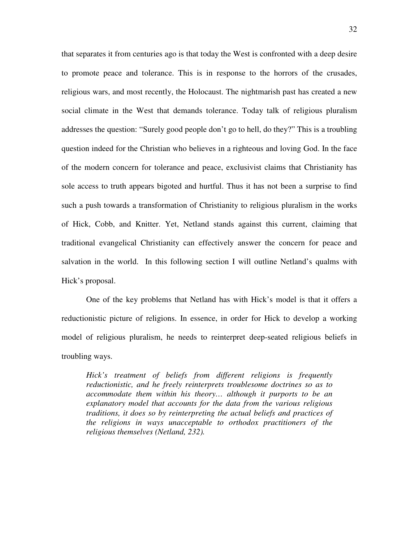that separates it from centuries ago is that today the West is confronted with a deep desire to promote peace and tolerance. This is in response to the horrors of the crusades, religious wars, and most recently, the Holocaust. The nightmarish past has created a new social climate in the West that demands tolerance. Today talk of religious pluralism addresses the question: "Surely good people don't go to hell, do they?" This is a troubling question indeed for the Christian who believes in a righteous and loving God. In the face of the modern concern for tolerance and peace, exclusivist claims that Christianity has sole access to truth appears bigoted and hurtful. Thus it has not been a surprise to find such a push towards a transformation of Christianity to religious pluralism in the works of Hick, Cobb, and Knitter. Yet, Netland stands against this current, claiming that traditional evangelical Christianity can effectively answer the concern for peace and salvation in the world. In this following section I will outline Netland's qualms with Hick's proposal.

 One of the key problems that Netland has with Hick's model is that it offers a reductionistic picture of religions. In essence, in order for Hick to develop a working model of religious pluralism, he needs to reinterpret deep-seated religious beliefs in troubling ways.

*Hick's treatment of beliefs from different religions is frequently reductionistic, and he freely reinterprets troublesome doctrines so as to accommodate them within his theory… although it purports to be an explanatory model that accounts for the data from the various religious traditions, it does so by reinterpreting the actual beliefs and practices of the religions in ways unacceptable to orthodox practitioners of the religious themselves (Netland, 232).*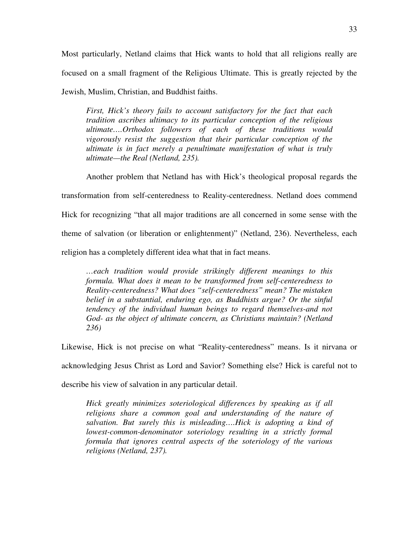Most particularly, Netland claims that Hick wants to hold that all religions really are focused on a small fragment of the Religious Ultimate. This is greatly rejected by the Jewish, Muslim, Christian, and Buddhist faiths.

*First, Hick's theory fails to account satisfactory for the fact that each tradition ascribes ultimacy to its particular conception of the religious ultimate….Orthodox followers of each of these traditions would vigorously resist the suggestion that their particular conception of the ultimate is in fact merely a penultimate manifestation of what is truly ultimate—the Real (Netland, 235).* 

 Another problem that Netland has with Hick's theological proposal regards the transformation from self-centeredness to Reality-centeredness. Netland does commend Hick for recognizing "that all major traditions are all concerned in some sense with the theme of salvation (or liberation or enlightenment)" (Netland, 236). Nevertheless, each religion has a completely different idea what that in fact means.

*…each tradition would provide strikingly different meanings to this formula. What does it mean to be transformed from self-centeredness to Reality-centeredness? What does "self-centeredness" mean? The mistaken belief in a substantial, enduring ego, as Buddhists argue? Or the sinful tendency of the individual human beings to regard themselves-and not God- as the object of ultimate concern, as Christians maintain? (Netland 236)* 

Likewise, Hick is not precise on what "Reality-centeredness" means. Is it nirvana or

acknowledging Jesus Christ as Lord and Savior? Something else? Hick is careful not to

describe his view of salvation in any particular detail.

*Hick greatly minimizes soteriological differences by speaking as if all religions share a common goal and understanding of the nature of salvation. But surely this is misleading….Hick is adopting a kind of lowest-common-denominator soteriology resulting in a strictly formal formula that ignores central aspects of the soteriology of the various religions (Netland, 237).*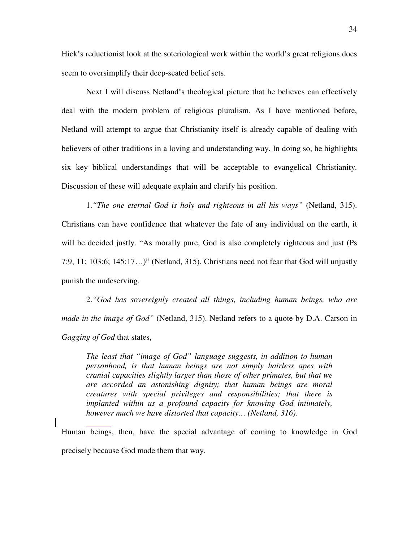Hick's reductionist look at the soteriological work within the world's great religions does seem to oversimplify their deep-seated belief sets.

 Next I will discuss Netland's theological picture that he believes can effectively deal with the modern problem of religious pluralism. As I have mentioned before, Netland will attempt to argue that Christianity itself is already capable of dealing with believers of other traditions in a loving and understanding way. In doing so, he highlights six key biblical understandings that will be acceptable to evangelical Christianity. Discussion of these will adequate explain and clarify his position.

 1.*"The one eternal God is holy and righteous in all his ways"* (Netland, 315). Christians can have confidence that whatever the fate of any individual on the earth, it will be decided justly. "As morally pure, God is also completely righteous and just (Ps 7:9, 11; 103:6; 145:17…)" (Netland, 315). Christians need not fear that God will unjustly punish the undeserving.

 2.*"God has sovereignly created all things, including human beings, who are made in the image of God"* (Netland, 315). Netland refers to a quote by D.A. Carson in *Gagging of God* that states,

*The least that "image of God" language suggests, in addition to human personhood, is that human beings are not simply hairless apes with cranial capacities slightly larger than those of other primates, but that we are accorded an astonishing dignity; that human beings are moral creatures with special privileges and responsibilities; that there is implanted within us a profound capacity for knowing God intimately, however much we have distorted that capacity… (Netland, 316).* 

Human beings, then, have the special advantage of coming to knowledge in God precisely because God made them that way.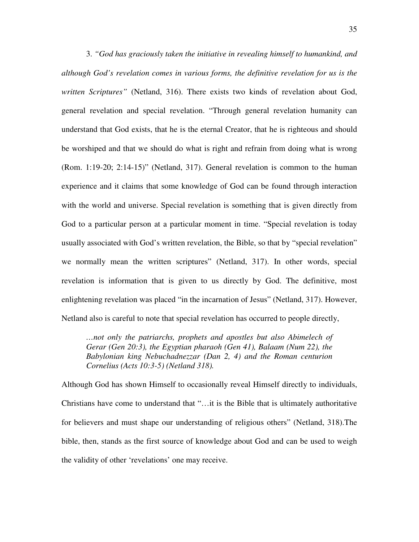3. *"God has graciously taken the initiative in revealing himself to humankind, and although God's revelation comes in various forms, the definitive revelation for us is the written Scriptures"* (Netland, 316). There exists two kinds of revelation about God, general revelation and special revelation. "Through general revelation humanity can understand that God exists, that he is the eternal Creator, that he is righteous and should be worshiped and that we should do what is right and refrain from doing what is wrong (Rom. 1:19-20; 2:14-15)" (Netland, 317). General revelation is common to the human experience and it claims that some knowledge of God can be found through interaction with the world and universe. Special revelation is something that is given directly from God to a particular person at a particular moment in time. "Special revelation is today usually associated with God's written revelation, the Bible, so that by "special revelation" we normally mean the written scriptures" (Netland, 317). In other words, special revelation is information that is given to us directly by God. The definitive, most enlightening revelation was placed "in the incarnation of Jesus" (Netland, 317). However, Netland also is careful to note that special revelation has occurred to people directly,

*…not only the patriarchs, prophets and apostles but also Abimelech of Gerar (Gen 20:3), the Egyptian pharaoh (Gen 41), Balaam (Num 22), the Babylonian king Nebuchadnezzar (Dan 2, 4) and the Roman centurion Cornelius (Acts 10:3-5) (Netland 318).* 

Although God has shown Himself to occasionally reveal Himself directly to individuals, Christians have come to understand that "…it is the Bible that is ultimately authoritative for believers and must shape our understanding of religious others" (Netland, 318).The bible, then, stands as the first source of knowledge about God and can be used to weigh the validity of other 'revelations' one may receive.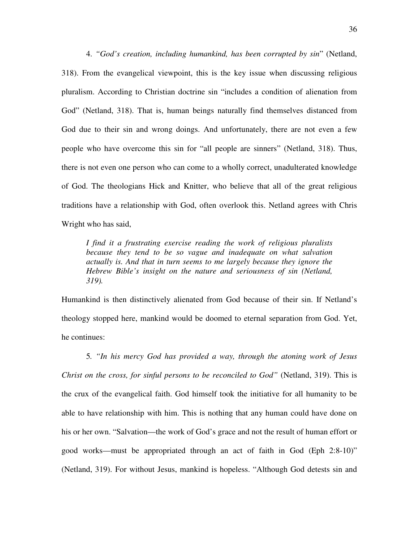4. *"God's creation, including humankind, has been corrupted by sin*" (Netland, 318). From the evangelical viewpoint, this is the key issue when discussing religious pluralism. According to Christian doctrine sin "includes a condition of alienation from God" (Netland, 318). That is, human beings naturally find themselves distanced from God due to their sin and wrong doings. And unfortunately, there are not even a few people who have overcome this sin for "all people are sinners" (Netland, 318). Thus, there is not even one person who can come to a wholly correct, unadulterated knowledge of God. The theologians Hick and Knitter, who believe that all of the great religious traditions have a relationship with God, often overlook this. Netland agrees with Chris Wright who has said,

*I find it a frustrating exercise reading the work of religious pluralists because they tend to be so vague and inadequate on what salvation actually is. And that in turn seems to me largely because they ignore the Hebrew Bible's insight on the nature and seriousness of sin (Netland, 319).* 

Humankind is then distinctively alienated from God because of their sin. If Netland's theology stopped here, mankind would be doomed to eternal separation from God. Yet, he continues:

 5*. "In his mercy God has provided a way, through the atoning work of Jesus Christ on the cross, for sinful persons to be reconciled to God"* (Netland, 319). This is the crux of the evangelical faith. God himself took the initiative for all humanity to be able to have relationship with him. This is nothing that any human could have done on his or her own. "Salvation—the work of God's grace and not the result of human effort or good works—must be appropriated through an act of faith in God (Eph 2:8-10)" (Netland, 319). For without Jesus, mankind is hopeless. "Although God detests sin and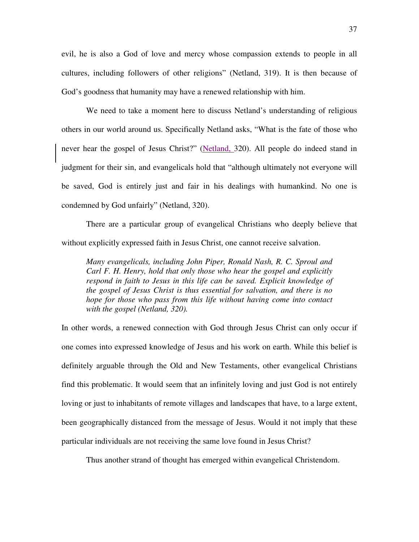evil, he is also a God of love and mercy whose compassion extends to people in all cultures, including followers of other religions" (Netland, 319). It is then because of God's goodness that humanity may have a renewed relationship with him.

 We need to take a moment here to discuss Netland's understanding of religious others in our world around us. Specifically Netland asks, "What is the fate of those who never hear the gospel of Jesus Christ?" (Netland, 320). All people do indeed stand in judgment for their sin, and evangelicals hold that "although ultimately not everyone will be saved, God is entirely just and fair in his dealings with humankind. No one is condemned by God unfairly" (Netland, 320).

There are a particular group of evangelical Christians who deeply believe that without explicitly expressed faith in Jesus Christ, one cannot receive salvation.

*Many evangelicals, including John Piper, Ronald Nash, R. C. Sproul and Carl F. H. Henry, hold that only those who hear the gospel and explicitly respond in faith to Jesus in this life can be saved. Explicit knowledge of the gospel of Jesus Christ is thus essential for salvation, and there is no hope for those who pass from this life without having come into contact with the gospel (Netland, 320).* 

In other words, a renewed connection with God through Jesus Christ can only occur if one comes into expressed knowledge of Jesus and his work on earth. While this belief is definitely arguable through the Old and New Testaments, other evangelical Christians find this problematic. It would seem that an infinitely loving and just God is not entirely loving or just to inhabitants of remote villages and landscapes that have, to a large extent, been geographically distanced from the message of Jesus. Would it not imply that these particular individuals are not receiving the same love found in Jesus Christ?

Thus another strand of thought has emerged within evangelical Christendom.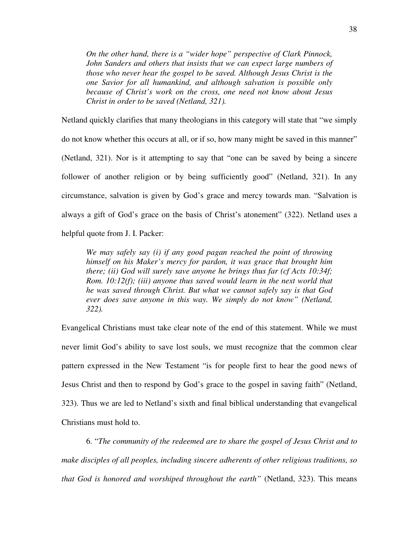*On the other hand, there is a "wider hope" perspective of Clark Pinnock, John Sanders and others that insists that we can expect large numbers of those who never hear the gospel to be saved. Although Jesus Christ is the one Savior for all humankind, and although salvation is possible only because of Christ's work on the cross, one need not know about Jesus Christ in order to be saved (Netland, 321).* 

Netland quickly clarifies that many theologians in this category will state that "we simply do not know whether this occurs at all, or if so, how many might be saved in this manner" (Netland, 321). Nor is it attempting to say that "one can be saved by being a sincere follower of another religion or by being sufficiently good" (Netland, 321). In any circumstance, salvation is given by God's grace and mercy towards man. "Salvation is always a gift of God's grace on the basis of Christ's atonement" (322). Netland uses a helpful quote from J. I. Packer:

*We may safely say (i) if any good pagan reached the point of throwing himself on his Maker's mercy for pardon, it was grace that brought him there; (ii) God will surely save anyone he brings thus far (cf Acts 10:34f; Rom. 10:12(f); (iii) anyone thus saved would learn in the next world that he was saved through Christ. But what we cannot safely say is that God ever does save anyone in this way. We simply do not know" (Netland, 322).* 

Evangelical Christians must take clear note of the end of this statement. While we must never limit God's ability to save lost souls, we must recognize that the common clear pattern expressed in the New Testament "is for people first to hear the good news of Jesus Christ and then to respond by God's grace to the gospel in saving faith" (Netland, 323). Thus we are led to Netland's sixth and final biblical understanding that evangelical Christians must hold to.

 6. "*The community of the redeemed are to share the gospel of Jesus Christ and to make disciples of all peoples, including sincere adherents of other religious traditions, so that God is honored and worshiped throughout the earth"* (Netland, 323). This means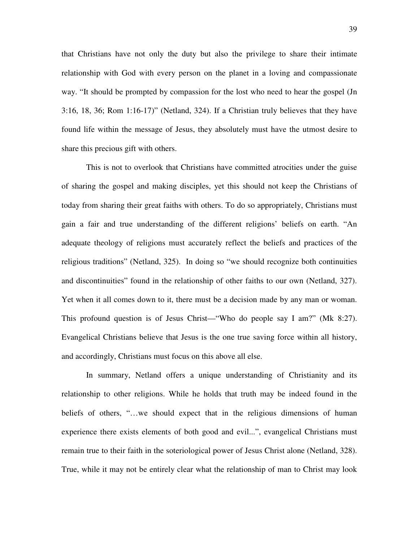that Christians have not only the duty but also the privilege to share their intimate relationship with God with every person on the planet in a loving and compassionate way. "It should be prompted by compassion for the lost who need to hear the gospel (Jn 3:16, 18, 36; Rom 1:16-17)" (Netland, 324). If a Christian truly believes that they have found life within the message of Jesus, they absolutely must have the utmost desire to share this precious gift with others.

This is not to overlook that Christians have committed atrocities under the guise of sharing the gospel and making disciples, yet this should not keep the Christians of today from sharing their great faiths with others. To do so appropriately, Christians must gain a fair and true understanding of the different religions' beliefs on earth. "An adequate theology of religions must accurately reflect the beliefs and practices of the religious traditions" (Netland, 325). In doing so "we should recognize both continuities and discontinuities" found in the relationship of other faiths to our own (Netland, 327). Yet when it all comes down to it, there must be a decision made by any man or woman. This profound question is of Jesus Christ—"Who do people say I am?" (Mk 8:27). Evangelical Christians believe that Jesus is the one true saving force within all history, and accordingly, Christians must focus on this above all else.

In summary, Netland offers a unique understanding of Christianity and its relationship to other religions. While he holds that truth may be indeed found in the beliefs of others, "…we should expect that in the religious dimensions of human experience there exists elements of both good and evil...", evangelical Christians must remain true to their faith in the soteriological power of Jesus Christ alone (Netland, 328). True, while it may not be entirely clear what the relationship of man to Christ may look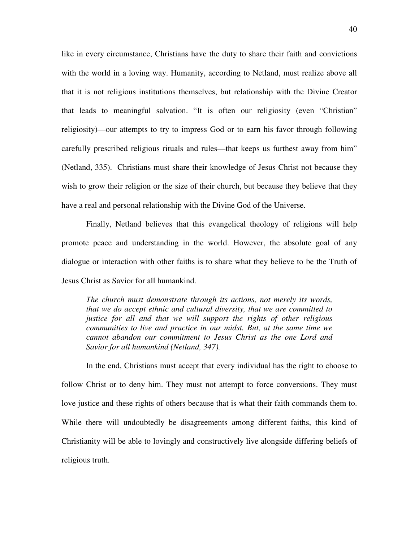like in every circumstance, Christians have the duty to share their faith and convictions with the world in a loving way. Humanity, according to Netland, must realize above all that it is not religious institutions themselves, but relationship with the Divine Creator that leads to meaningful salvation. "It is often our religiosity (even "Christian" religiosity)—our attempts to try to impress God or to earn his favor through following carefully prescribed religious rituals and rules—that keeps us furthest away from him" (Netland, 335). Christians must share their knowledge of Jesus Christ not because they wish to grow their religion or the size of their church, but because they believe that they have a real and personal relationship with the Divine God of the Universe.

Finally, Netland believes that this evangelical theology of religions will help promote peace and understanding in the world. However, the absolute goal of any dialogue or interaction with other faiths is to share what they believe to be the Truth of Jesus Christ as Savior for all humankind.

*The church must demonstrate through its actions, not merely its words, that we do accept ethnic and cultural diversity, that we are committed to justice for all and that we will support the rights of other religious communities to live and practice in our midst. But, at the same time we cannot abandon our commitment to Jesus Christ as the one Lord and Savior for all humankind (Netland, 347).* 

In the end, Christians must accept that every individual has the right to choose to follow Christ or to deny him. They must not attempt to force conversions. They must love justice and these rights of others because that is what their faith commands them to. While there will undoubtedly be disagreements among different faiths, this kind of Christianity will be able to lovingly and constructively live alongside differing beliefs of religious truth.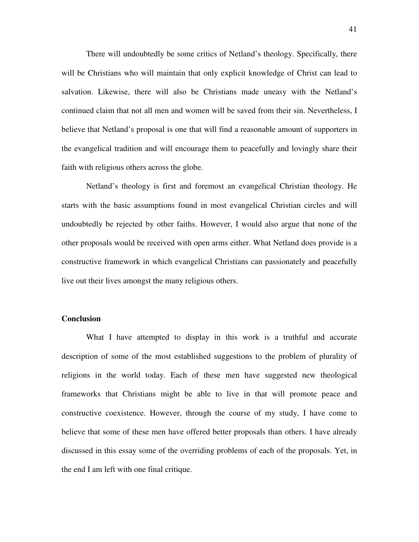There will undoubtedly be some critics of Netland's theology. Specifically, there will be Christians who will maintain that only explicit knowledge of Christ can lead to salvation. Likewise, there will also be Christians made uneasy with the Netland's continued claim that not all men and women will be saved from their sin. Nevertheless, I believe that Netland's proposal is one that will find a reasonable amount of supporters in the evangelical tradition and will encourage them to peacefully and lovingly share their faith with religious others across the globe.

Netland's theology is first and foremost an evangelical Christian theology. He starts with the basic assumptions found in most evangelical Christian circles and will undoubtedly be rejected by other faiths. However, I would also argue that none of the other proposals would be received with open arms either. What Netland does provide is a constructive framework in which evangelical Christians can passionately and peacefully live out their lives amongst the many religious others.

# **Conclusion**

What I have attempted to display in this work is a truthful and accurate description of some of the most established suggestions to the problem of plurality of religions in the world today. Each of these men have suggested new theological frameworks that Christians might be able to live in that will promote peace and constructive coexistence. However, through the course of my study, I have come to believe that some of these men have offered better proposals than others. I have already discussed in this essay some of the overriding problems of each of the proposals. Yet, in the end I am left with one final critique.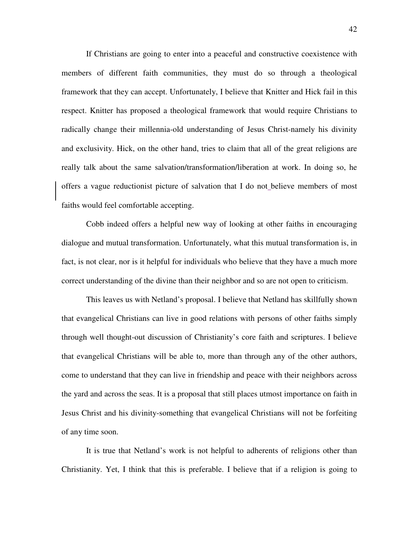If Christians are going to enter into a peaceful and constructive coexistence with members of different faith communities, they must do so through a theological framework that they can accept. Unfortunately, I believe that Knitter and Hick fail in this respect. Knitter has proposed a theological framework that would require Christians to radically change their millennia-old understanding of Jesus Christ-namely his divinity and exclusivity. Hick, on the other hand, tries to claim that all of the great religions are really talk about the same salvation/transformation/liberation at work. In doing so, he offers a vague reductionist picture of salvation that I do not believe members of most faiths would feel comfortable accepting.

 Cobb indeed offers a helpful new way of looking at other faiths in encouraging dialogue and mutual transformation. Unfortunately, what this mutual transformation is, in fact, is not clear, nor is it helpful for individuals who believe that they have a much more correct understanding of the divine than their neighbor and so are not open to criticism.

 This leaves us with Netland's proposal. I believe that Netland has skillfully shown that evangelical Christians can live in good relations with persons of other faiths simply through well thought-out discussion of Christianity's core faith and scriptures. I believe that evangelical Christians will be able to, more than through any of the other authors, come to understand that they can live in friendship and peace with their neighbors across the yard and across the seas. It is a proposal that still places utmost importance on faith in Jesus Christ and his divinity-something that evangelical Christians will not be forfeiting of any time soon.

 It is true that Netland's work is not helpful to adherents of religions other than Christianity. Yet, I think that this is preferable. I believe that if a religion is going to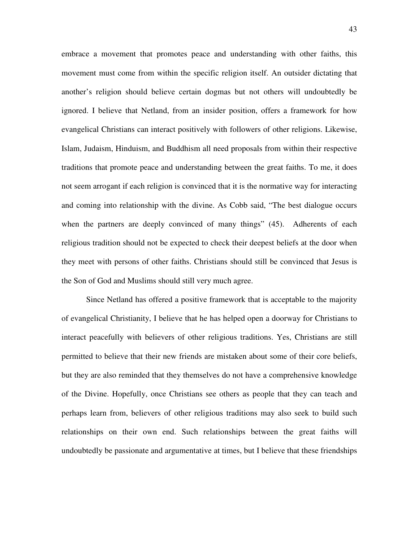embrace a movement that promotes peace and understanding with other faiths, this movement must come from within the specific religion itself. An outsider dictating that another's religion should believe certain dogmas but not others will undoubtedly be ignored. I believe that Netland, from an insider position, offers a framework for how evangelical Christians can interact positively with followers of other religions. Likewise, Islam, Judaism, Hinduism, and Buddhism all need proposals from within their respective traditions that promote peace and understanding between the great faiths. To me, it does not seem arrogant if each religion is convinced that it is the normative way for interacting and coming into relationship with the divine. As Cobb said, "The best dialogue occurs when the partners are deeply convinced of many things" (45). Adherents of each religious tradition should not be expected to check their deepest beliefs at the door when they meet with persons of other faiths. Christians should still be convinced that Jesus is the Son of God and Muslims should still very much agree.

 Since Netland has offered a positive framework that is acceptable to the majority of evangelical Christianity, I believe that he has helped open a doorway for Christians to interact peacefully with believers of other religious traditions. Yes, Christians are still permitted to believe that their new friends are mistaken about some of their core beliefs, but they are also reminded that they themselves do not have a comprehensive knowledge of the Divine. Hopefully, once Christians see others as people that they can teach and perhaps learn from, believers of other religious traditions may also seek to build such relationships on their own end. Such relationships between the great faiths will undoubtedly be passionate and argumentative at times, but I believe that these friendships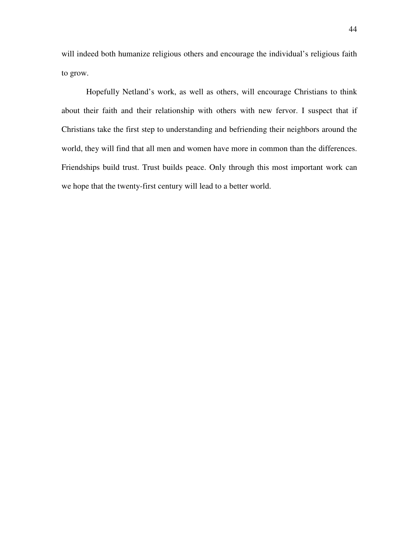will indeed both humanize religious others and encourage the individual's religious faith to grow.

 Hopefully Netland's work, as well as others, will encourage Christians to think about their faith and their relationship with others with new fervor. I suspect that if Christians take the first step to understanding and befriending their neighbors around the world, they will find that all men and women have more in common than the differences. Friendships build trust. Trust builds peace. Only through this most important work can we hope that the twenty-first century will lead to a better world.